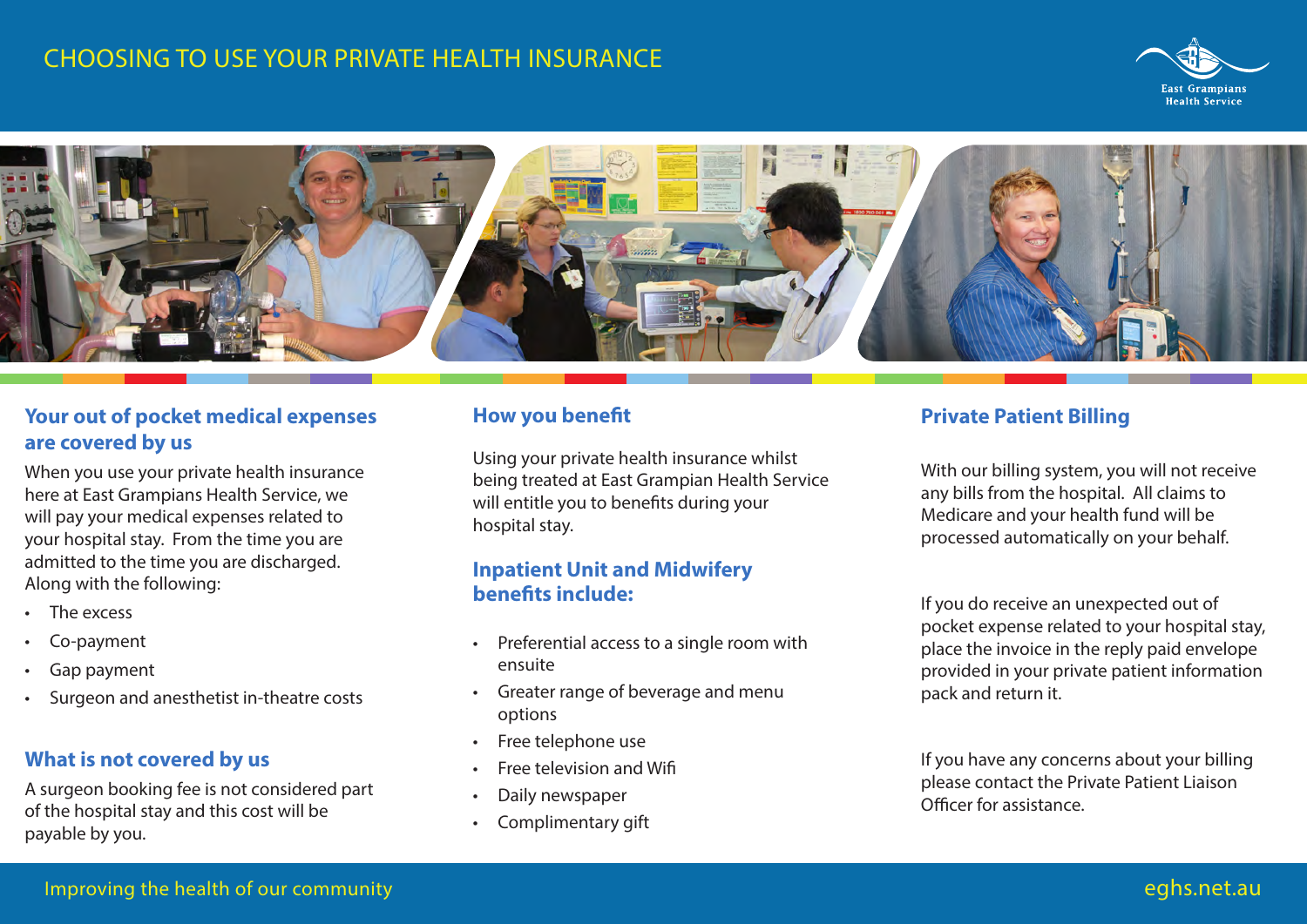# **CHOOSING TO USE YOUR PRIVATE HEALTH INSURANCE**





## **Your out of pocket medical expenses are covered by us**

When you use your private health insurance here at East Grampians Health Service, we will pay your medical expenses related to your hospital stay. From the time you are admitted to the time you are discharged. Along with the following:

- The excess
- Co-payment
- Gap payment
- Surgeon and anesthetist in-theatre costs

#### **What is not covered by us**

A surgeon booking fee is not considered part of the hospital stay and this cost will be payable by you.

#### **How you benefit**

Using your private health insurance whilst being treated at East Grampian Health Service will entitle you to benefits during your hospital stay.

#### **Inpatient Unit and Midwifery benefits include:**

- Preferential access to a single room with ensuite
- Greater range of beverage and menu options
- Free telephone use
- Free television and Wifi
- Daily newspaper
- Complimentary gift

#### **Private Patient Billing**

With our billing system, you will not receive any bills from the hospital. All claims to Medicare and your health fund will be processed automatically on your behalf.

If you do receive an unexpected out of pocket expense related to your hospital stay, place the invoice in the reply paid envelope provided in your private patient information pack and return it.

If you have any concerns about your billing please contact the Private Patient Liaison Officer for assistance.